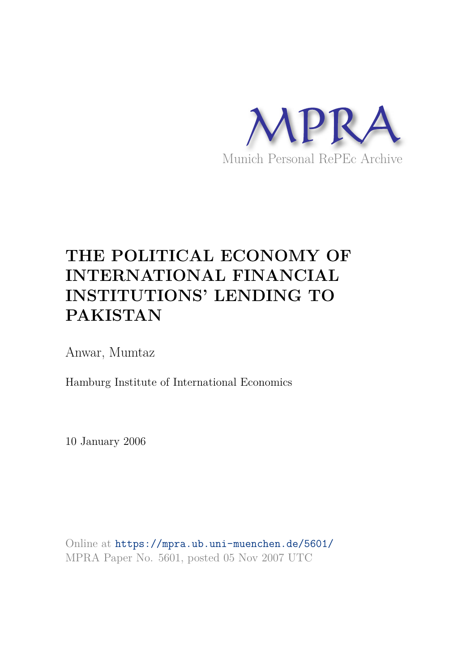

# **THE POLITICAL ECONOMY OF INTERNATIONAL FINANCIAL INSTITUTIONS' LENDING TO PAKISTAN**

Anwar, Mumtaz

Hamburg Institute of International Economics

10 January 2006

Online at https://mpra.ub.uni-muenchen.de/5601/ MPRA Paper No. 5601, posted 05 Nov 2007 UTC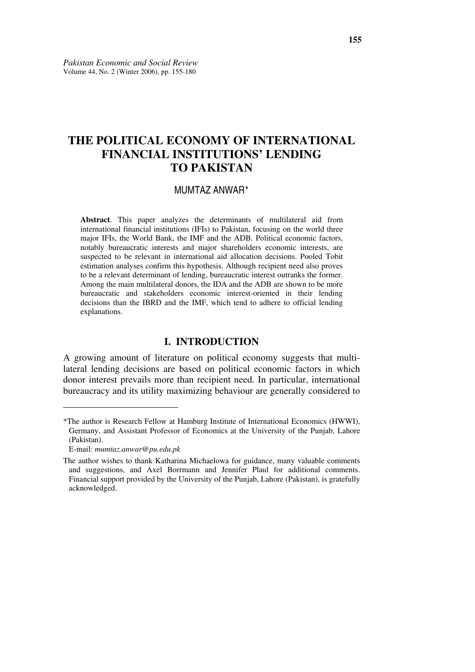# **THE POLITICAL ECONOMY OF INTERNATIONAL FINANCIAL INSTITUTIONS' LENDING TO PAKISTAN**

#### MUMTAZ ANWAR\*

**Abstract**. This paper analyzes the determinants of multilateral aid from international financial institutions (IFIs) to Pakistan, focusing on the world three major IFIs, the World Bank, the IMF and the ADB. Political economic factors, notably bureaucratic interests and major shareholders economic interests, are suspected to be relevant in international aid allocation decisions. Pooled Tobit estimation analyses confirm this hypothesis. Although recipient need also proves to be a relevant determinant of lending, bureaucratic interest outranks the former. Among the main multilateral donors, the IDA and the ADB are shown to be more bureaucratic and stakeholders economic interest-oriented in their lending decisions than the IBRD and the IMF, which tend to adhere to official lending explanations.

### **I. INTRODUCTION**

A growing amount of literature on political economy suggests that multilateral lending decisions are based on political economic factors in which donor interest prevails more than recipient need. In particular, international bureaucracy and its utility maximizing behaviour are generally considered to

 $\overline{a}$ 

<sup>\*</sup>The author is Research Fellow at Hamburg Institute of International Economics (HWWI), Germany, and Assistant Professor of Economics at the University of the Punjab, Lahore (Pakistan).

E-mail: *mumtaz.anwar@pu.edu.pk*

The author wishes to thank Katharina Michaelowa for guidance, many valuable comments and suggestions, and Axel Borrmann and Jennifer Plaul for additional comments. Financial support provided by the University of the Punjab, Lahore (Pakistan), is gratefully acknowledged.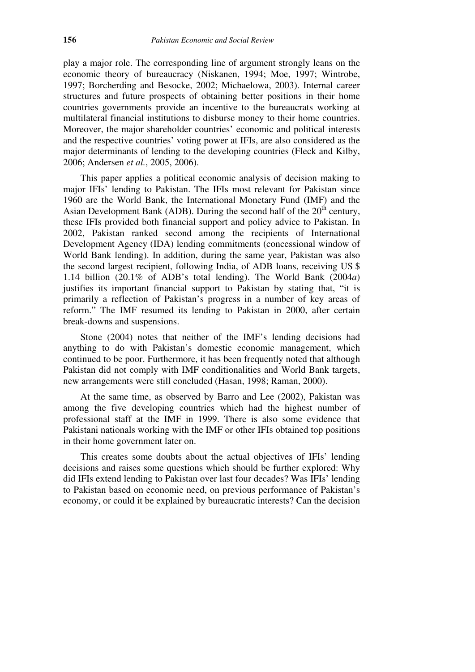play a major role. The corresponding line of argument strongly leans on the economic theory of bureaucracy (Niskanen, 1994; Moe, 1997; Wintrobe, 1997; Borcherding and Besocke, 2002; Michaelowa, 2003). Internal career structures and future prospects of obtaining better positions in their home countries governments provide an incentive to the bureaucrats working at multilateral financial institutions to disburse money to their home countries. Moreover, the major shareholder countries' economic and political interests and the respective countries' voting power at IFIs, are also considered as the major determinants of lending to the developing countries (Fleck and Kilby, 2006; Andersen *et al.*, 2005, 2006).

 This paper applies a political economic analysis of decision making to major IFIs' lending to Pakistan. The IFIs most relevant for Pakistan since 1960 are the World Bank, the International Monetary Fund (IMF) and the Asian Development Bank (ADB). During the second half of the  $20<sup>th</sup>$  century, these IFIs provided both financial support and policy advice to Pakistan. In 2002, Pakistan ranked second among the recipients of International Development Agency (IDA) lending commitments (concessional window of World Bank lending). In addition, during the same year, Pakistan was also the second largest recipient, following India, of ADB loans, receiving US \$ 1.14 billion (20.1% of ADB's total lending). The World Bank (2004*a*) justifies its important financial support to Pakistan by stating that, "it is primarily a reflection of Pakistan's progress in a number of key areas of reform." The IMF resumed its lending to Pakistan in 2000, after certain break-downs and suspensions.

 Stone (2004) notes that neither of the IMF's lending decisions had anything to do with Pakistan's domestic economic management, which continued to be poor. Furthermore, it has been frequently noted that although Pakistan did not comply with IMF conditionalities and World Bank targets, new arrangements were still concluded (Hasan, 1998; Raman, 2000).

 At the same time, as observed by Barro and Lee (2002), Pakistan was among the five developing countries which had the highest number of professional staff at the IMF in 1999. There is also some evidence that Pakistani nationals working with the IMF or other IFIs obtained top positions in their home government later on.

 This creates some doubts about the actual objectives of IFIs' lending decisions and raises some questions which should be further explored: Why did IFIs extend lending to Pakistan over last four decades? Was IFIs' lending to Pakistan based on economic need, on previous performance of Pakistan's economy, or could it be explained by bureaucratic interests? Can the decision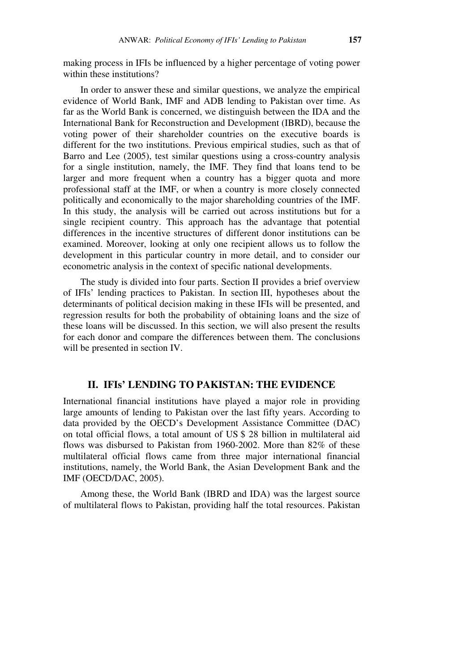making process in IFIs be influenced by a higher percentage of voting power within these institutions?

 In order to answer these and similar questions, we analyze the empirical evidence of World Bank, IMF and ADB lending to Pakistan over time. As far as the World Bank is concerned, we distinguish between the IDA and the International Bank for Reconstruction and Development (IBRD), because the voting power of their shareholder countries on the executive boards is different for the two institutions. Previous empirical studies, such as that of Barro and Lee (2005), test similar questions using a cross-country analysis for a single institution, namely, the IMF. They find that loans tend to be larger and more frequent when a country has a bigger quota and more professional staff at the IMF, or when a country is more closely connected politically and economically to the major shareholding countries of the IMF. In this study, the analysis will be carried out across institutions but for a single recipient country. This approach has the advantage that potential differences in the incentive structures of different donor institutions can be examined. Moreover, looking at only one recipient allows us to follow the development in this particular country in more detail, and to consider our econometric analysis in the context of specific national developments.

 The study is divided into four parts. Section II provides a brief overview of IFIs' lending practices to Pakistan. In section III, hypotheses about the determinants of political decision making in these IFIs will be presented, and regression results for both the probability of obtaining loans and the size of these loans will be discussed. In this section, we will also present the results for each donor and compare the differences between them. The conclusions will be presented in section IV.

#### **II. IFIs' LENDING TO PAKISTAN: THE EVIDENCE**

International financial institutions have played a major role in providing large amounts of lending to Pakistan over the last fifty years. According to data provided by the OECD's Development Assistance Committee (DAC) on total official flows, a total amount of US \$ 28 billion in multilateral aid flows was disbursed to Pakistan from 1960-2002. More than 82% of these multilateral official flows came from three major international financial institutions, namely, the World Bank, the Asian Development Bank and the IMF (OECD/DAC, 2005).

 Among these, the World Bank (IBRD and IDA) was the largest source of multilateral flows to Pakistan, providing half the total resources. Pakistan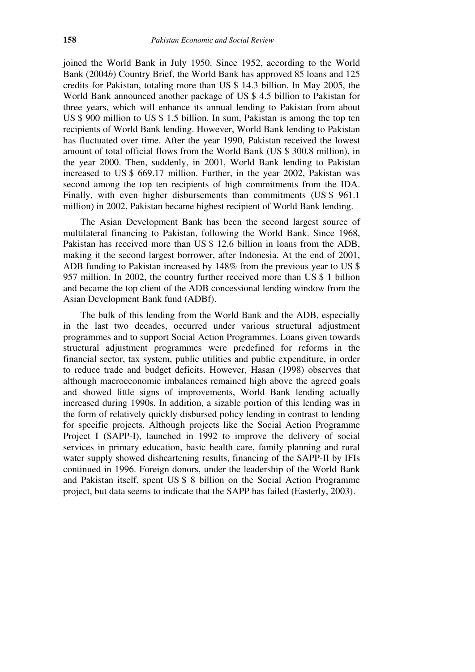joined the World Bank in July 1950. Since 1952, according to the World Bank (2004*b*) Country Brief, the World Bank has approved 85 loans and 125 credits for Pakistan, totaling more than US \$ 14.3 billion. In May 2005, the World Bank announced another package of US \$ 4.5 billion to Pakistan for three years, which will enhance its annual lending to Pakistan from about US \$ 900 million to US \$ 1.5 billion. In sum, Pakistan is among the top ten recipients of World Bank lending. However, World Bank lending to Pakistan has fluctuated over time. After the year 1990, Pakistan received the lowest amount of total official flows from the World Bank (US \$ 300.8 million), in the year 2000. Then, suddenly, in 2001, World Bank lending to Pakistan increased to US \$ 669.17 million. Further, in the year 2002, Pakistan was second among the top ten recipients of high commitments from the IDA. Finally, with even higher disbursements than commitments (US \$ 961.1 million) in 2002, Pakistan became highest recipient of World Bank lending.

 The Asian Development Bank has been the second largest source of multilateral financing to Pakistan, following the World Bank. Since 1968, Pakistan has received more than US \$ 12.6 billion in loans from the ADB, making it the second largest borrower, after Indonesia. At the end of 2001, ADB funding to Pakistan increased by 148% from the previous year to US \$ 957 million. In 2002, the country further received more than US \$ 1 billion and became the top client of the ADB concessional lending window from the Asian Development Bank fund (ADBf).

 The bulk of this lending from the World Bank and the ADB, especially in the last two decades, occurred under various structural adjustment programmes and to support Social Action Programmes. Loans given towards structural adjustment programmes were predefined for reforms in the financial sector, tax system, public utilities and public expenditure, in order to reduce trade and budget deficits. However, Hasan (1998) observes that although macroeconomic imbalances remained high above the agreed goals and showed little signs of improvements, World Bank lending actually increased during 1990s. In addition, a sizable portion of this lending was in the form of relatively quickly disbursed policy lending in contrast to lending for specific projects. Although projects like the Social Action Programme Project I (SAPP-I), launched in 1992 to improve the delivery of social services in primary education, basic health care, family planning and rural water supply showed disheartening results, financing of the SAPP-II by IFIs continued in 1996. Foreign donors, under the leadership of the World Bank and Pakistan itself, spent US \$ 8 billion on the Social Action Programme project, but data seems to indicate that the SAPP has failed (Easterly, 2003).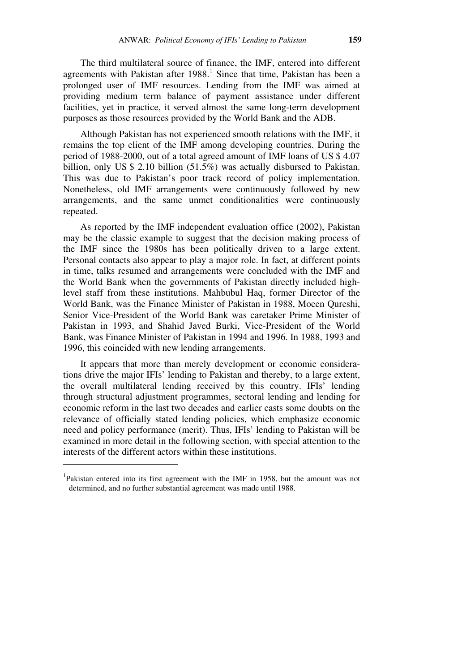The third multilateral source of finance, the IMF, entered into different agreements with Pakistan after 1988.<sup>1</sup> Since that time, Pakistan has been a prolonged user of IMF resources. Lending from the IMF was aimed at providing medium term balance of payment assistance under different facilities, yet in practice, it served almost the same long-term development purposes as those resources provided by the World Bank and the ADB.

 Although Pakistan has not experienced smooth relations with the IMF, it remains the top client of the IMF among developing countries. During the period of 1988-2000, out of a total agreed amount of IMF loans of US \$ 4.07 billion, only US \$ 2.10 billion (51.5%) was actually disbursed to Pakistan. This was due to Pakistan's poor track record of policy implementation. Nonetheless, old IMF arrangements were continuously followed by new arrangements, and the same unmet conditionalities were continuously repeated.

 As reported by the IMF independent evaluation office (2002), Pakistan may be the classic example to suggest that the decision making process of the IMF since the 1980s has been politically driven to a large extent. Personal contacts also appear to play a major role. In fact, at different points in time, talks resumed and arrangements were concluded with the IMF and the World Bank when the governments of Pakistan directly included highlevel staff from these institutions. Mahbubul Haq, former Director of the World Bank, was the Finance Minister of Pakistan in 1988, Moeen Qureshi, Senior Vice-President of the World Bank was caretaker Prime Minister of Pakistan in 1993, and Shahid Javed Burki, Vice-President of the World Bank, was Finance Minister of Pakistan in 1994 and 1996. In 1988, 1993 and 1996, this coincided with new lending arrangements.

 It appears that more than merely development or economic considerations drive the major IFIs' lending to Pakistan and thereby, to a large extent, the overall multilateral lending received by this country. IFIs' lending through structural adjustment programmes, sectoral lending and lending for economic reform in the last two decades and earlier casts some doubts on the relevance of officially stated lending policies, which emphasize economic need and policy performance (merit). Thus, IFIs' lending to Pakistan will be examined in more detail in the following section, with special attention to the interests of the different actors within these institutions.

 $\overline{a}$ 

<sup>&</sup>lt;sup>1</sup>Pakistan entered into its first agreement with the IMF in 1958, but the amount was not determined, and no further substantial agreement was made until 1988.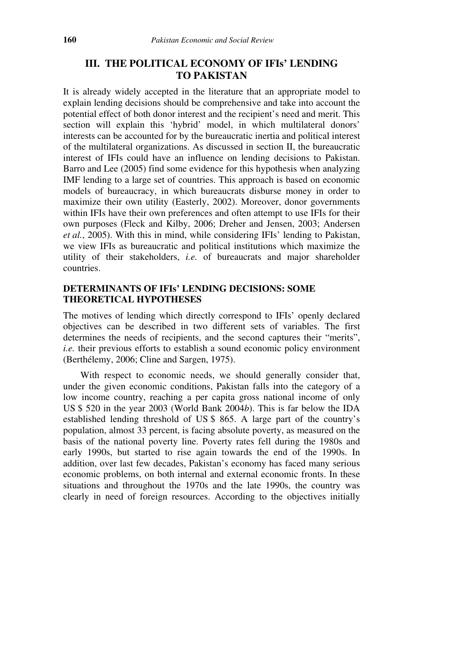# **III. THE POLITICAL ECONOMY OF IFIs' LENDING TO PAKISTAN**

It is already widely accepted in the literature that an appropriate model to explain lending decisions should be comprehensive and take into account the potential effect of both donor interest and the recipient's need and merit. This section will explain this 'hybrid' model, in which multilateral donors' interests can be accounted for by the bureaucratic inertia and political interest of the multilateral organizations. As discussed in section II, the bureaucratic interest of IFIs could have an influence on lending decisions to Pakistan. Barro and Lee (2005) find some evidence for this hypothesis when analyzing IMF lending to a large set of countries. This approach is based on economic models of bureaucracy, in which bureaucrats disburse money in order to maximize their own utility (Easterly, 2002). Moreover, donor governments within IFIs have their own preferences and often attempt to use IFIs for their own purposes (Fleck and Kilby, 2006; Dreher and Jensen, 2003; Andersen *et al.*, 2005). With this in mind, while considering IFIs' lending to Pakistan, we view IFIs as bureaucratic and political institutions which maximize the utility of their stakeholders, *i.e.* of bureaucrats and major shareholder countries.

### **DETERMINANTS OF IFIs' LENDING DECISIONS: SOME THEORETICAL HYPOTHESES**

The motives of lending which directly correspond to IFIs' openly declared objectives can be described in two different sets of variables. The first determines the needs of recipients, and the second captures their "merits", *i.e.* their previous efforts to establish a sound economic policy environment (Berthélemy, 2006; Cline and Sargen, 1975).

 With respect to economic needs, we should generally consider that, under the given economic conditions, Pakistan falls into the category of a low income country, reaching a per capita gross national income of only US \$ 520 in the year 2003 (World Bank 2004*b*). This is far below the IDA established lending threshold of US \$ 865. A large part of the country's population, almost 33 percent, is facing absolute poverty, as measured on the basis of the national poverty line. Poverty rates fell during the 1980s and early 1990s, but started to rise again towards the end of the 1990s. In addition, over last few decades, Pakistan's economy has faced many serious economic problems, on both internal and external economic fronts. In these situations and throughout the 1970s and the late 1990s, the country was clearly in need of foreign resources. According to the objectives initially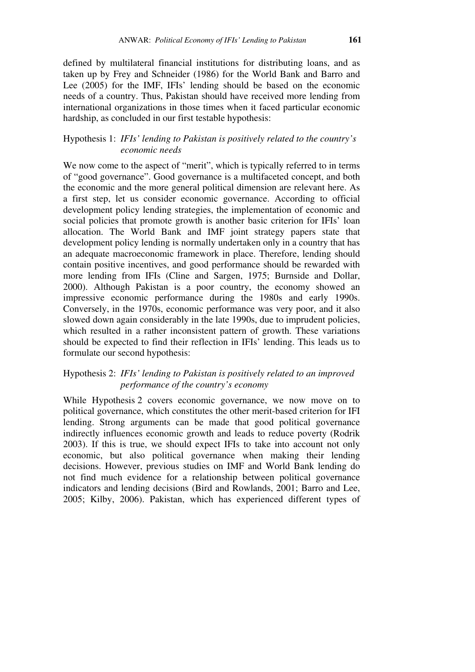defined by multilateral financial institutions for distributing loans, and as taken up by Frey and Schneider (1986) for the World Bank and Barro and Lee (2005) for the IMF, IFIs' lending should be based on the economic needs of a country. Thus, Pakistan should have received more lending from international organizations in those times when it faced particular economic hardship, as concluded in our first testable hypothesis:

#### Hypothesis 1: *IFIs' lending to Pakistan is positively related to the country's economic needs*

We now come to the aspect of "merit", which is typically referred to in terms of "good governance". Good governance is a multifaceted concept, and both the economic and the more general political dimension are relevant here. As a first step, let us consider economic governance. According to official development policy lending strategies, the implementation of economic and social policies that promote growth is another basic criterion for IFIs' loan allocation. The World Bank and IMF joint strategy papers state that development policy lending is normally undertaken only in a country that has an adequate macroeconomic framework in place. Therefore, lending should contain positive incentives, and good performance should be rewarded with more lending from IFIs (Cline and Sargen, 1975; Burnside and Dollar, 2000). Although Pakistan is a poor country, the economy showed an impressive economic performance during the 1980s and early 1990s. Conversely, in the 1970s, economic performance was very poor, and it also slowed down again considerably in the late 1990s, due to imprudent policies, which resulted in a rather inconsistent pattern of growth. These variations should be expected to find their reflection in IFIs' lending. This leads us to formulate our second hypothesis:

# Hypothesis 2: *IFIs' lending to Pakistan is positively related to an improved performance of the country's economy*

While Hypothesis 2 covers economic governance, we now move on to political governance, which constitutes the other merit-based criterion for IFI lending. Strong arguments can be made that good political governance indirectly influences economic growth and leads to reduce poverty (Rodrik 2003). If this is true, we should expect IFIs to take into account not only economic, but also political governance when making their lending decisions. However, previous studies on IMF and World Bank lending do not find much evidence for a relationship between political governance indicators and lending decisions (Bird and Rowlands, 2001; Barro and Lee, 2005; Kilby, 2006). Pakistan, which has experienced different types of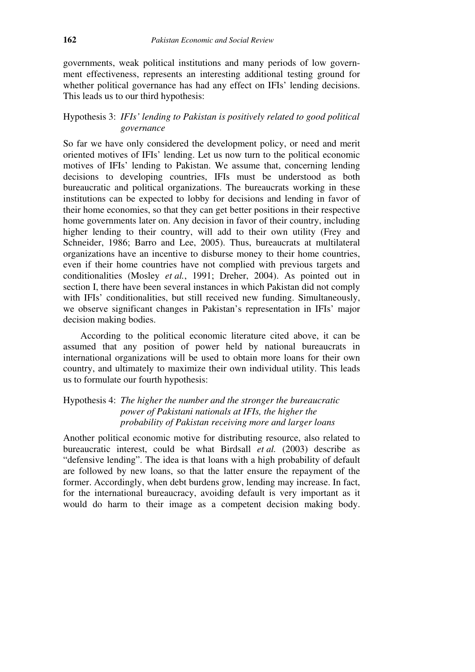governments, weak political institutions and many periods of low government effectiveness, represents an interesting additional testing ground for whether political governance has had any effect on IFIs' lending decisions. This leads us to our third hypothesis:

# Hypothesis 3: *IFIs' lending to Pakistan is positively related to good political governance*

So far we have only considered the development policy, or need and merit oriented motives of IFIs' lending. Let us now turn to the political economic motives of IFIs' lending to Pakistan. We assume that, concerning lending decisions to developing countries, IFIs must be understood as both bureaucratic and political organizations. The bureaucrats working in these institutions can be expected to lobby for decisions and lending in favor of their home economies, so that they can get better positions in their respective home governments later on. Any decision in favor of their country, including higher lending to their country, will add to their own utility (Frey and Schneider, 1986; Barro and Lee, 2005). Thus, bureaucrats at multilateral organizations have an incentive to disburse money to their home countries, even if their home countries have not complied with previous targets and conditionalities (Mosley *et al.*, 1991; Dreher, 2004). As pointed out in section I, there have been several instances in which Pakistan did not comply with IFIs' conditionalities, but still received new funding. Simultaneously, we observe significant changes in Pakistan's representation in IFIs' major decision making bodies.

 According to the political economic literature cited above, it can be assumed that any position of power held by national bureaucrats in international organizations will be used to obtain more loans for their own country, and ultimately to maximize their own individual utility. This leads us to formulate our fourth hypothesis:

# Hypothesis 4: *The higher the number and the stronger the bureaucratic power of Pakistani nationals at IFIs, the higher the probability of Pakistan receiving more and larger loans*

Another political economic motive for distributing resource, also related to bureaucratic interest, could be what Birdsall *et al.* (2003) describe as "defensive lending". The idea is that loans with a high probability of default are followed by new loans, so that the latter ensure the repayment of the former. Accordingly, when debt burdens grow, lending may increase. In fact, for the international bureaucracy, avoiding default is very important as it would do harm to their image as a competent decision making body.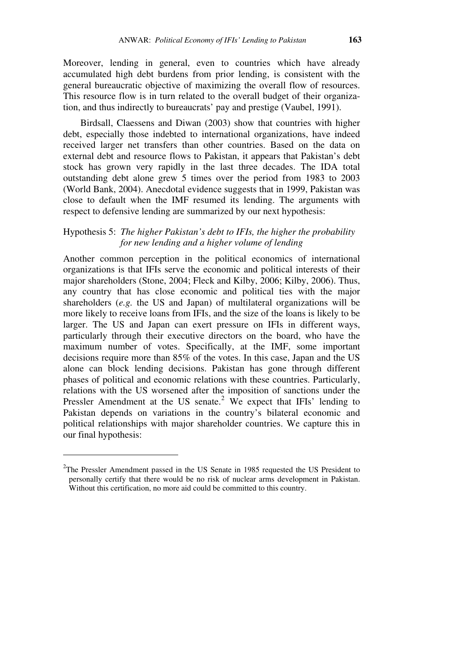Moreover, lending in general, even to countries which have already accumulated high debt burdens from prior lending, is consistent with the general bureaucratic objective of maximizing the overall flow of resources. This resource flow is in turn related to the overall budget of their organization, and thus indirectly to bureaucrats' pay and prestige (Vaubel, 1991).

 Birdsall, Claessens and Diwan (2003) show that countries with higher debt, especially those indebted to international organizations, have indeed received larger net transfers than other countries. Based on the data on external debt and resource flows to Pakistan, it appears that Pakistan's debt stock has grown very rapidly in the last three decades. The IDA total outstanding debt alone grew 5 times over the period from 1983 to 2003 (World Bank, 2004). Anecdotal evidence suggests that in 1999, Pakistan was close to default when the IMF resumed its lending. The arguments with respect to defensive lending are summarized by our next hypothesis:

# Hypothesis 5: *The higher Pakistan's debt to IFIs, the higher the probability for new lending and a higher volume of lending*

Another common perception in the political economics of international organizations is that IFIs serve the economic and political interests of their major shareholders (Stone, 2004; Fleck and Kilby, 2006; Kilby, 2006). Thus, any country that has close economic and political ties with the major shareholders (*e.g.* the US and Japan) of multilateral organizations will be more likely to receive loans from IFIs, and the size of the loans is likely to be larger. The US and Japan can exert pressure on IFIs in different ways, particularly through their executive directors on the board, who have the maximum number of votes. Specifically, at the IMF, some important decisions require more than 85% of the votes. In this case, Japan and the US alone can block lending decisions. Pakistan has gone through different phases of political and economic relations with these countries. Particularly, relations with the US worsened after the imposition of sanctions under the Pressler Amendment at the US senate.<sup>2</sup> We expect that IFIs' lending to Pakistan depends on variations in the country's bilateral economic and political relationships with major shareholder countries. We capture this in our final hypothesis:

 $\overline{a}$ 

 $2$ The Pressler Amendment passed in the US Senate in 1985 requested the US President to personally certify that there would be no risk of nuclear arms development in Pakistan. Without this certification, no more aid could be committed to this country.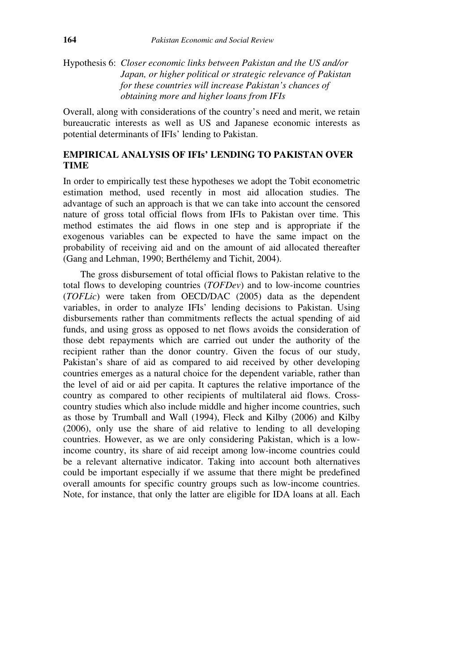# Hypothesis 6: *Closer economic links between Pakistan and the US and/or Japan, or higher political or strategic relevance of Pakistan for these countries will increase Pakistan's chances of obtaining more and higher loans from IFIs*

Overall, along with considerations of the country's need and merit, we retain bureaucratic interests as well as US and Japanese economic interests as potential determinants of IFIs' lending to Pakistan.

# **EMPIRICAL ANALYSIS OF IFIs' LENDING TO PAKISTAN OVER TIME**

In order to empirically test these hypotheses we adopt the Tobit econometric estimation method, used recently in most aid allocation studies. The advantage of such an approach is that we can take into account the censored nature of gross total official flows from IFIs to Pakistan over time. This method estimates the aid flows in one step and is appropriate if the exogenous variables can be expected to have the same impact on the probability of receiving aid and on the amount of aid allocated thereafter (Gang and Lehman, 1990; Berthélemy and Tichit, 2004).

 The gross disbursement of total official flows to Pakistan relative to the total flows to developing countries (*TOFDev*) and to low-income countries (*TOFLic*) were taken from OECD/DAC (2005) data as the dependent variables, in order to analyze IFIs' lending decisions to Pakistan. Using disbursements rather than commitments reflects the actual spending of aid funds, and using gross as opposed to net flows avoids the consideration of those debt repayments which are carried out under the authority of the recipient rather than the donor country. Given the focus of our study, Pakistan's share of aid as compared to aid received by other developing countries emerges as a natural choice for the dependent variable, rather than the level of aid or aid per capita. It captures the relative importance of the country as compared to other recipients of multilateral aid flows. Crosscountry studies which also include middle and higher income countries, such as those by Trumball and Wall (1994), Fleck and Kilby (2006) and Kilby (2006), only use the share of aid relative to lending to all developing countries. However, as we are only considering Pakistan, which is a lowincome country, its share of aid receipt among low-income countries could be a relevant alternative indicator. Taking into account both alternatives could be important especially if we assume that there might be predefined overall amounts for specific country groups such as low-income countries. Note, for instance, that only the latter are eligible for IDA loans at all. Each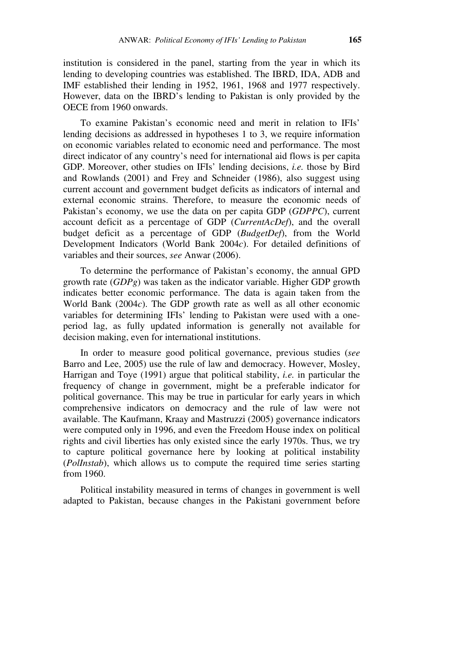institution is considered in the panel, starting from the year in which its lending to developing countries was established. The IBRD, IDA, ADB and IMF established their lending in 1952, 1961, 1968 and 1977 respectively. However, data on the IBRD's lending to Pakistan is only provided by the OECE from 1960 onwards.

 To examine Pakistan's economic need and merit in relation to IFIs' lending decisions as addressed in hypotheses 1 to 3, we require information on economic variables related to economic need and performance. The most direct indicator of any country's need for international aid flows is per capita GDP. Moreover, other studies on IFIs' lending decisions, *i.e.* those by Bird and Rowlands (2001) and Frey and Schneider (1986), also suggest using current account and government budget deficits as indicators of internal and external economic strains. Therefore, to measure the economic needs of Pakistan's economy, we use the data on per capita GDP (*GDPPC*), current account deficit as a percentage of GDP (*CurrentAcDef*), and the overall budget deficit as a percentage of GDP (*BudgetDef*), from the World Development Indicators (World Bank 2004*c*). For detailed definitions of variables and their sources, *see* Anwar (2006).

 To determine the performance of Pakistan's economy, the annual GPD growth rate (*GDPg*) was taken as the indicator variable. Higher GDP growth indicates better economic performance. The data is again taken from the World Bank (2004*c*). The GDP growth rate as well as all other economic variables for determining IFIs' lending to Pakistan were used with a oneperiod lag, as fully updated information is generally not available for decision making, even for international institutions.

 In order to measure good political governance, previous studies (*see* Barro and Lee, 2005) use the rule of law and democracy. However, Mosley, Harrigan and Toye (1991) argue that political stability, *i.e.* in particular the frequency of change in government, might be a preferable indicator for political governance. This may be true in particular for early years in which comprehensive indicators on democracy and the rule of law were not available. The Kaufmann, Kraay and Mastruzzi (2005) governance indicators were computed only in 1996, and even the Freedom House index on political rights and civil liberties has only existed since the early 1970s. Thus, we try to capture political governance here by looking at political instability (*PolInstab*), which allows us to compute the required time series starting from 1960.

 Political instability measured in terms of changes in government is well adapted to Pakistan, because changes in the Pakistani government before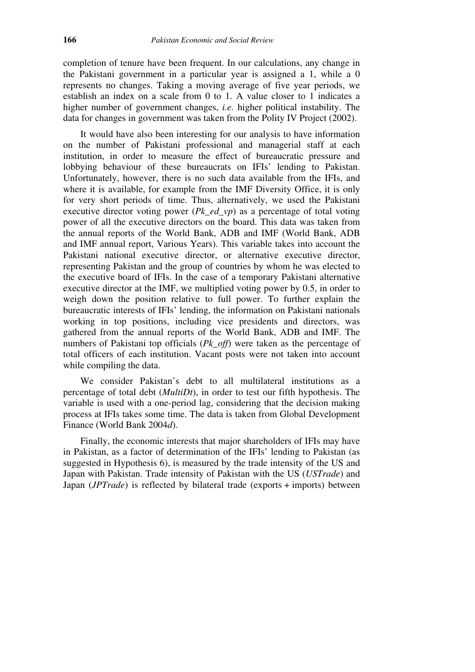completion of tenure have been frequent. In our calculations, any change in the Pakistani government in a particular year is assigned a 1, while a 0 represents no changes. Taking a moving average of five year periods, we establish an index on a scale from 0 to 1. A value closer to 1 indicates a higher number of government changes, *i.e.* higher political instability. The data for changes in government was taken from the Polity IV Project (2002).

 It would have also been interesting for our analysis to have information on the number of Pakistani professional and managerial staff at each institution, in order to measure the effect of bureaucratic pressure and lobbying behaviour of these bureaucrats on IFIs' lending to Pakistan. Unfortunately, however, there is no such data available from the IFIs, and where it is available, for example from the IMF Diversity Office, it is only for very short periods of time. Thus, alternatively, we used the Pakistani executive director voting power (*Pk\_ed\_vp*) as a percentage of total voting power of all the executive directors on the board. This data was taken from the annual reports of the World Bank, ADB and IMF (World Bank, ADB and IMF annual report, Various Years). This variable takes into account the Pakistani national executive director, or alternative executive director, representing Pakistan and the group of countries by whom he was elected to the executive board of IFIs. In the case of a temporary Pakistani alternative executive director at the IMF, we multiplied voting power by 0.5, in order to weigh down the position relative to full power. To further explain the bureaucratic interests of IFIs' lending, the information on Pakistani nationals working in top positions, including vice presidents and directors, was gathered from the annual reports of the World Bank, ADB and IMF. The numbers of Pakistani top officials (*Pk\_off*) were taken as the percentage of total officers of each institution. Vacant posts were not taken into account while compiling the data.

 We consider Pakistan's debt to all multilateral institutions as a percentage of total debt (*MultiDt*), in order to test our fifth hypothesis. The variable is used with a one-period lag, considering that the decision making process at IFIs takes some time. The data is taken from Global Development Finance (World Bank 2004*d*).

 Finally, the economic interests that major shareholders of IFIs may have in Pakistan, as a factor of determination of the IFIs' lending to Pakistan (as suggested in Hypothesis 6), is measured by the trade intensity of the US and Japan with Pakistan. Trade intensity of Pakistan with the US (*USTrade*) and Japan (*JPTrade*) is reflected by bilateral trade (exports + imports) between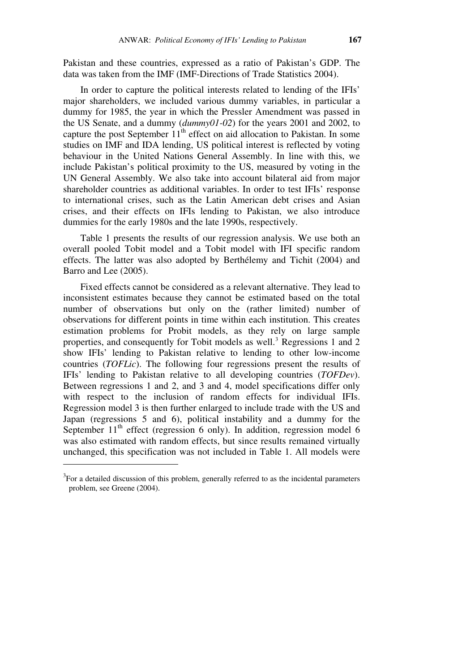Pakistan and these countries, expressed as a ratio of Pakistan's GDP. The data was taken from the IMF (IMF-Directions of Trade Statistics 2004).

 In order to capture the political interests related to lending of the IFIs' major shareholders, we included various dummy variables, in particular a dummy for 1985, the year in which the Pressler Amendment was passed in the US Senate, and a dummy (*dummy01-02*) for the years 2001 and 2002, to capture the post September  $11<sup>th</sup>$  effect on aid allocation to Pakistan. In some studies on IMF and IDA lending, US political interest is reflected by voting behaviour in the United Nations General Assembly. In line with this, we include Pakistan's political proximity to the US, measured by voting in the UN General Assembly. We also take into account bilateral aid from major shareholder countries as additional variables. In order to test IFIs' response to international crises, such as the Latin American debt crises and Asian crises, and their effects on IFIs lending to Pakistan, we also introduce dummies for the early 1980s and the late 1990s, respectively.

 Table 1 presents the results of our regression analysis. We use both an overall pooled Tobit model and a Tobit model with IFI specific random effects. The latter was also adopted by Berthélemy and Tichit (2004) and Barro and Lee (2005).

 Fixed effects cannot be considered as a relevant alternative. They lead to inconsistent estimates because they cannot be estimated based on the total number of observations but only on the (rather limited) number of observations for different points in time within each institution. This creates estimation problems for Probit models, as they rely on large sample properties, and consequently for Tobit models as well.<sup>3</sup> Regressions 1 and 2 show IFIs' lending to Pakistan relative to lending to other low-income countries (*TOFLic*). The following four regressions present the results of IFIs' lending to Pakistan relative to all developing countries (*TOFDev*). Between regressions 1 and 2, and 3 and 4, model specifications differ only with respect to the inclusion of random effects for individual IFIs. Regression model 3 is then further enlarged to include trade with the US and Japan (regressions 5 and 6), political instability and a dummy for the September  $11<sup>th</sup>$  effect (regression 6 only). In addition, regression model 6 was also estimated with random effects, but since results remained virtually unchanged, this specification was not included in Table 1. All models were

 $\overline{a}$ 

 $3$  For a detailed discussion of this problem, generally referred to as the incidental parameters problem, see Greene (2004).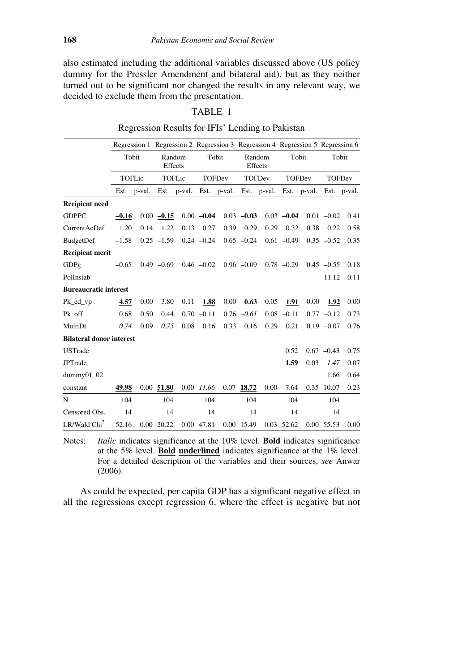also estimated including the additional variables discussed above (US policy dummy for the Pressler Amendment and bilateral aid), but as they neither turned out to be significant nor changed the results in any relevant way, we decided to exclude them from the presentation.

### TABLE 1

|                                 | Tobit<br>TOFLic |                                                                         | Random<br>Effects<br>TOFLic |      | Tobit<br><b>TOFDev</b> |      | Regression 1 Regression 2 Regression 3 Regression 4 Regression 5 Regression 6<br>Random<br>Effects<br><b>TOFDev</b> |      | Tobit<br><b>TOFDev</b> |      | Tobit<br><b>TOFDev</b> |      |
|---------------------------------|-----------------|-------------------------------------------------------------------------|-----------------------------|------|------------------------|------|---------------------------------------------------------------------------------------------------------------------|------|------------------------|------|------------------------|------|
|                                 |                 |                                                                         |                             |      |                        |      |                                                                                                                     |      |                        |      |                        |      |
|                                 |                 |                                                                         |                             |      |                        |      |                                                                                                                     |      |                        |      |                        |      |
|                                 |                 | Est. p-val. Est. p-val. Est. p-val. Est. p-val. Est. p-val. Est. p-val. |                             |      |                        |      |                                                                                                                     |      |                        |      |                        |      |
| <b>Recipient need</b>           |                 |                                                                         |                             |      |                        |      |                                                                                                                     |      |                        |      |                        |      |
| <b>GDPPC</b>                    | $-0.16$         |                                                                         | $0.00 - 0.15$               |      | $0.00 -0.04$           |      | $0.03 -0.03$                                                                                                        |      | $0.03 -0.04$           |      | $0.01 - 0.02$          | 0.41 |
| CurrentAcDef                    | 1.20            | 0.14                                                                    | 1.22                        | 0.13 | 0.27                   | 0.39 | 0.29                                                                                                                | 0.29 | 0.32                   | 0.38 | 0.22                   | 0.58 |
| BudgetDef                       | $-1.58$         |                                                                         | $0.25 -1.59$                |      | $0.24 - 0.24$          |      | $0.65 - 0.24$                                                                                                       |      | $0.61 - 0.49$          |      | $0.35 - 0.52$          | 0.35 |
| <b>Recipient merit</b>          |                 |                                                                         |                             |      |                        |      |                                                                                                                     |      |                        |      |                        |      |
| GDPg                            | $-0.65$         |                                                                         | $0.49 - 0.69$               |      | $0.46 - 0.02$          |      | $0.96 - 0.09$                                                                                                       |      | $0.78 - 0.29$          |      | $0.45 - 0.55$          | 0.18 |
| PolInstab                       |                 |                                                                         |                             |      |                        |      |                                                                                                                     |      |                        |      | 11.12                  | 0.11 |
| <b>Bureaucratic interest</b>    |                 |                                                                         |                             |      |                        |      |                                                                                                                     |      |                        |      |                        |      |
| Pk ed vp                        | 4.57            | 0.00                                                                    | 3.80                        | 0.11 | 1.88                   | 0.00 | 0.63                                                                                                                | 0.05 | 1.91                   | 0.00 | 1.92                   | 0.00 |
| Pk_off                          | 0.68            | 0.50                                                                    | 0.44                        |      | $0.70 - 0.11$          |      | $0.76 - 0.61$                                                                                                       |      | $0.08 - 0.11$          |      | $0.77 - 0.12$          | 0.73 |
| MultiDt                         | 0.74            | 0.09                                                                    | 0.75                        | 0.08 | 0.16                   | 0.33 | 0.16                                                                                                                | 0.29 | 0.21                   |      | $0.19 - 0.07$          | 0.76 |
| <b>Bilateral donor interest</b> |                 |                                                                         |                             |      |                        |      |                                                                                                                     |      |                        |      |                        |      |
| <b>USTrade</b>                  |                 |                                                                         |                             |      |                        |      |                                                                                                                     |      | 0.52                   |      | $0.67 - 0.43$          | 0.75 |
| <b>JPTrade</b>                  |                 |                                                                         |                             |      |                        |      |                                                                                                                     |      | 1.59                   | 0.03 | 1.47                   | 0.07 |
| $dummy01_02$                    |                 |                                                                         |                             |      |                        |      |                                                                                                                     |      |                        |      | 1.66                   | 0.64 |
| constant                        | 49.98           |                                                                         | $0.00$ 51.80                |      | 0.00 11.66             | 0.07 | 18.72                                                                                                               | 0.00 | 7.64                   |      | 0.35 10.07             | 0.23 |
| N                               | 104             |                                                                         | 104                         |      | 104                    |      | 104                                                                                                                 |      | 104                    |      | 104                    |      |
| Censored Obs.                   | 14              |                                                                         | 14                          |      | 14                     |      | 14                                                                                                                  |      | 14                     |      | 14                     |      |
| LR/Wald Chi <sup>2</sup>        | 52.16           |                                                                         | $0.00$ 20.22                |      | 0.00 47.81             |      | 0.00 15.49                                                                                                          |      | 0.03 52.62             |      | 0.00 55.53             | 0.00 |

# Regression Results for IFIs' Lending to Pakistan

Notes: *Italic* indicates significance at the 10% level. **Bold** indicates significance at the 5% level. **Bold underlined** indicates significance at the 1% level. For a detailed description of the variables and their sources, *see* Anwar (2006).

 As could be expected, per capita GDP has a significant negative effect in all the regressions except regression 6, where the effect is negative but not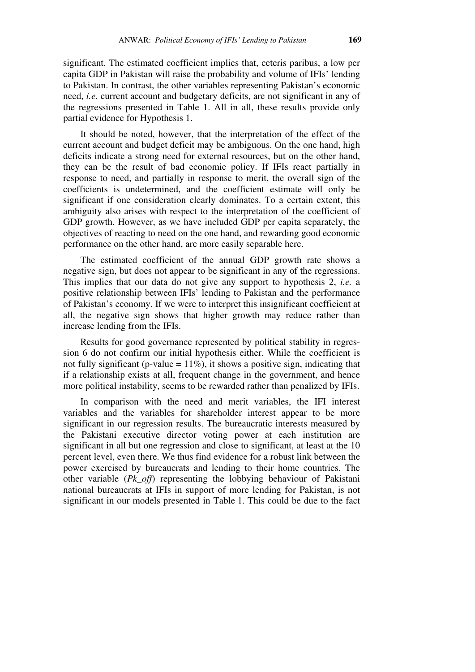significant. The estimated coefficient implies that, ceteris paribus, a low per capita GDP in Pakistan will raise the probability and volume of IFIs' lending to Pakistan. In contrast, the other variables representing Pakistan's economic need, *i.e.* current account and budgetary deficits, are not significant in any of the regressions presented in Table 1. All in all, these results provide only partial evidence for Hypothesis 1.

 It should be noted, however, that the interpretation of the effect of the current account and budget deficit may be ambiguous. On the one hand, high deficits indicate a strong need for external resources, but on the other hand, they can be the result of bad economic policy. If IFIs react partially in response to need, and partially in response to merit, the overall sign of the coefficients is undetermined, and the coefficient estimate will only be significant if one consideration clearly dominates. To a certain extent, this ambiguity also arises with respect to the interpretation of the coefficient of GDP growth. However, as we have included GDP per capita separately, the objectives of reacting to need on the one hand, and rewarding good economic performance on the other hand, are more easily separable here.

 The estimated coefficient of the annual GDP growth rate shows a negative sign, but does not appear to be significant in any of the regressions. This implies that our data do not give any support to hypothesis 2, *i.e.* a positive relationship between IFIs' lending to Pakistan and the performance of Pakistan's economy. If we were to interpret this insignificant coefficient at all, the negative sign shows that higher growth may reduce rather than increase lending from the IFIs.

 Results for good governance represented by political stability in regression 6 do not confirm our initial hypothesis either. While the coefficient is not fully significant (p-value =  $11\%$ ), it shows a positive sign, indicating that if a relationship exists at all, frequent change in the government, and hence more political instability, seems to be rewarded rather than penalized by IFIs.

 In comparison with the need and merit variables, the IFI interest variables and the variables for shareholder interest appear to be more significant in our regression results. The bureaucratic interests measured by the Pakistani executive director voting power at each institution are significant in all but one regression and close to significant, at least at the 10 percent level, even there. We thus find evidence for a robust link between the power exercised by bureaucrats and lending to their home countries. The other variable (*Pk\_off*) representing the lobbying behaviour of Pakistani national bureaucrats at IFIs in support of more lending for Pakistan, is not significant in our models presented in Table 1. This could be due to the fact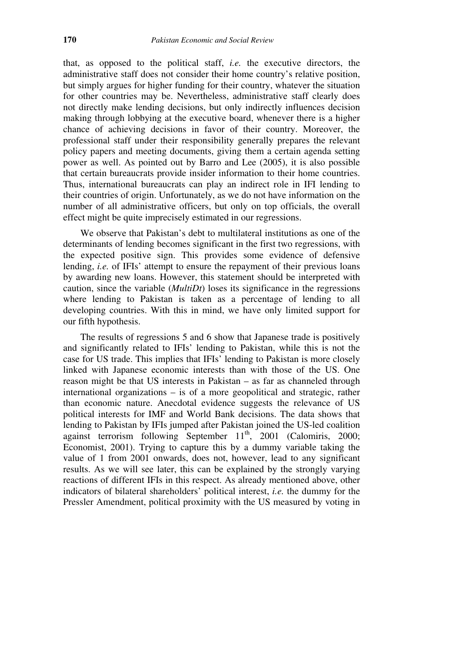that, as opposed to the political staff, *i.e.* the executive directors, the administrative staff does not consider their home country's relative position, but simply argues for higher funding for their country, whatever the situation for other countries may be. Nevertheless, administrative staff clearly does not directly make lending decisions, but only indirectly influences decision making through lobbying at the executive board, whenever there is a higher chance of achieving decisions in favor of their country. Moreover, the professional staff under their responsibility generally prepares the relevant policy papers and meeting documents, giving them a certain agenda setting power as well. As pointed out by Barro and Lee (2005), it is also possible that certain bureaucrats provide insider information to their home countries. Thus, international bureaucrats can play an indirect role in IFI lending to their countries of origin. Unfortunately, as we do not have information on the number of all administrative officers, but only on top officials, the overall effect might be quite imprecisely estimated in our regressions.

 We observe that Pakistan's debt to multilateral institutions as one of the determinants of lending becomes significant in the first two regressions, with the expected positive sign. This provides some evidence of defensive lending, *i.e.* of IFIs' attempt to ensure the repayment of their previous loans by awarding new loans. However, this statement should be interpreted with caution, since the variable (*MultiDt*) loses its significance in the regressions where lending to Pakistan is taken as a percentage of lending to all developing countries. With this in mind, we have only limited support for our fifth hypothesis.

 The results of regressions 5 and 6 show that Japanese trade is positively and significantly related to IFIs' lending to Pakistan, while this is not the case for US trade. This implies that IFIs' lending to Pakistan is more closely linked with Japanese economic interests than with those of the US. One reason might be that US interests in Pakistan – as far as channeled through international organizations – is of a more geopolitical and strategic, rather than economic nature. Anecdotal evidence suggests the relevance of US political interests for IMF and World Bank decisions. The data shows that lending to Pakistan by IFIs jumped after Pakistan joined the US-led coalition against terrorism following September  $11<sup>th</sup>$ , 2001 (Calomiris, 2000; Economist, 2001). Trying to capture this by a dummy variable taking the value of 1 from 2001 onwards, does not, however, lead to any significant results. As we will see later, this can be explained by the strongly varying reactions of different IFIs in this respect. As already mentioned above, other indicators of bilateral shareholders' political interest, *i.e.* the dummy for the Pressler Amendment, political proximity with the US measured by voting in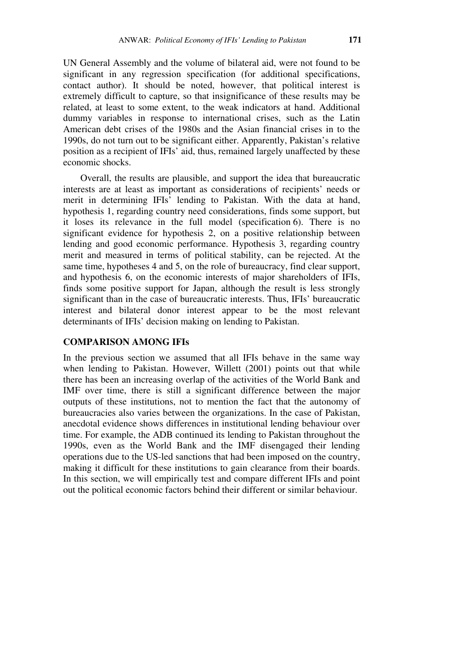UN General Assembly and the volume of bilateral aid, were not found to be significant in any regression specification (for additional specifications, contact author). It should be noted, however, that political interest is extremely difficult to capture, so that insignificance of these results may be related, at least to some extent, to the weak indicators at hand. Additional dummy variables in response to international crises, such as the Latin American debt crises of the 1980s and the Asian financial crises in to the 1990s, do not turn out to be significant either. Apparently, Pakistan's relative position as a recipient of IFIs' aid, thus, remained largely unaffected by these economic shocks.

 Overall, the results are plausible, and support the idea that bureaucratic interests are at least as important as considerations of recipients' needs or merit in determining IFIs' lending to Pakistan. With the data at hand, hypothesis 1, regarding country need considerations, finds some support, but it loses its relevance in the full model (specification 6). There is no significant evidence for hypothesis 2, on a positive relationship between lending and good economic performance. Hypothesis 3, regarding country merit and measured in terms of political stability, can be rejected. At the same time, hypotheses 4 and 5, on the role of bureaucracy, find clear support, and hypothesis 6, on the economic interests of major shareholders of IFIs, finds some positive support for Japan, although the result is less strongly significant than in the case of bureaucratic interests. Thus, IFIs' bureaucratic interest and bilateral donor interest appear to be the most relevant determinants of IFIs' decision making on lending to Pakistan.

#### **COMPARISON AMONG IFIs**

In the previous section we assumed that all IFIs behave in the same way when lending to Pakistan. However, Willett (2001) points out that while there has been an increasing overlap of the activities of the World Bank and IMF over time, there is still a significant difference between the major outputs of these institutions, not to mention the fact that the autonomy of bureaucracies also varies between the organizations. In the case of Pakistan, anecdotal evidence shows differences in institutional lending behaviour over time. For example, the ADB continued its lending to Pakistan throughout the 1990s, even as the World Bank and the IMF disengaged their lending operations due to the US-led sanctions that had been imposed on the country, making it difficult for these institutions to gain clearance from their boards. In this section, we will empirically test and compare different IFIs and point out the political economic factors behind their different or similar behaviour.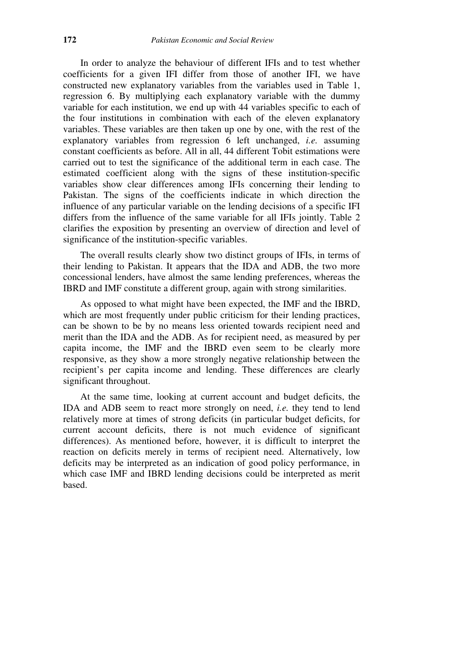In order to analyze the behaviour of different IFIs and to test whether coefficients for a given IFI differ from those of another IFI, we have constructed new explanatory variables from the variables used in Table 1, regression 6. By multiplying each explanatory variable with the dummy variable for each institution, we end up with 44 variables specific to each of the four institutions in combination with each of the eleven explanatory variables. These variables are then taken up one by one, with the rest of the explanatory variables from regression 6 left unchanged, *i.e.* assuming constant coefficients as before. All in all, 44 different Tobit estimations were carried out to test the significance of the additional term in each case. The estimated coefficient along with the signs of these institution-specific variables show clear differences among IFIs concerning their lending to Pakistan. The signs of the coefficients indicate in which direction the influence of any particular variable on the lending decisions of a specific IFI differs from the influence of the same variable for all IFIs jointly. Table 2 clarifies the exposition by presenting an overview of direction and level of significance of the institution-specific variables.

 The overall results clearly show two distinct groups of IFIs, in terms of their lending to Pakistan. It appears that the IDA and ADB, the two more concessional lenders, have almost the same lending preferences, whereas the IBRD and IMF constitute a different group, again with strong similarities.

 As opposed to what might have been expected, the IMF and the IBRD, which are most frequently under public criticism for their lending practices, can be shown to be by no means less oriented towards recipient need and merit than the IDA and the ADB. As for recipient need, as measured by per capita income, the IMF and the IBRD even seem to be clearly more responsive, as they show a more strongly negative relationship between the recipient's per capita income and lending. These differences are clearly significant throughout.

 At the same time, looking at current account and budget deficits, the IDA and ADB seem to react more strongly on need, *i.e.* they tend to lend relatively more at times of strong deficits (in particular budget deficits, for current account deficits, there is not much evidence of significant differences). As mentioned before, however, it is difficult to interpret the reaction on deficits merely in terms of recipient need. Alternatively, low deficits may be interpreted as an indication of good policy performance, in which case IMF and IBRD lending decisions could be interpreted as merit based.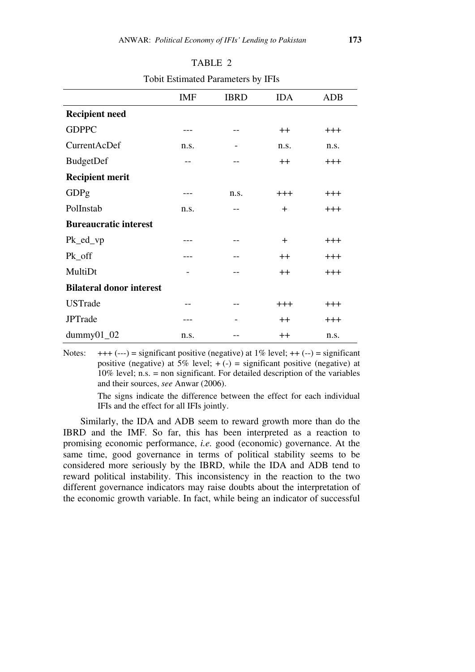|                                 | <b>IMF</b> | <b>IBRD</b> | <b>IDA</b>       | <b>ADB</b> |
|---------------------------------|------------|-------------|------------------|------------|
| <b>Recipient need</b>           |            |             |                  |            |
| <b>GDPPC</b>                    |            |             | $++$             | $+++$      |
| CurrentAcDef                    | n.s.       |             | n.s.             | n.s.       |
| BudgetDef                       |            |             | $++$             | $+++$      |
| <b>Recipient merit</b>          |            |             |                  |            |
| GDPg                            |            | n.s.        | $+++$            | $+++$      |
| PolInstab                       | n.s.       | --          | $+$              | $+++$      |
| <b>Bureaucratic interest</b>    |            |             |                  |            |
| $Pk\_ed\_vp$                    |            |             | $\pm$            | $+++$      |
| Pk_off                          |            |             | $++$             | $+++$      |
| MultiDt                         |            |             | $^+$             | $+++$      |
| <b>Bilateral donor interest</b> |            |             |                  |            |
| <b>USTrade</b>                  |            |             | $+++$            | $+++$      |
| <b>JPTrade</b>                  |            |             | $++$             | $+++$      |
| $dummy01_02$                    | n.s.       |             | $^{\mathrm{++}}$ | n.s.       |

TABLE 2 Tobit Estimated Parameters by IFIs

Notes:  $+++(--)$  = significant positive (negative) at 1% level;  $++(-)$  = significant positive (negative) at 5% level;  $+ (-)$  = significant positive (negative) at 10% level; n.s. = non significant. For detailed description of the variables and their sources, *see* Anwar (2006).

> The signs indicate the difference between the effect for each individual IFIs and the effect for all IFIs jointly.

 Similarly, the IDA and ADB seem to reward growth more than do the IBRD and the IMF. So far, this has been interpreted as a reaction to promising economic performance, *i.e.* good (economic) governance. At the same time, good governance in terms of political stability seems to be considered more seriously by the IBRD, while the IDA and ADB tend to reward political instability. This inconsistency in the reaction to the two different governance indicators may raise doubts about the interpretation of the economic growth variable. In fact, while being an indicator of successful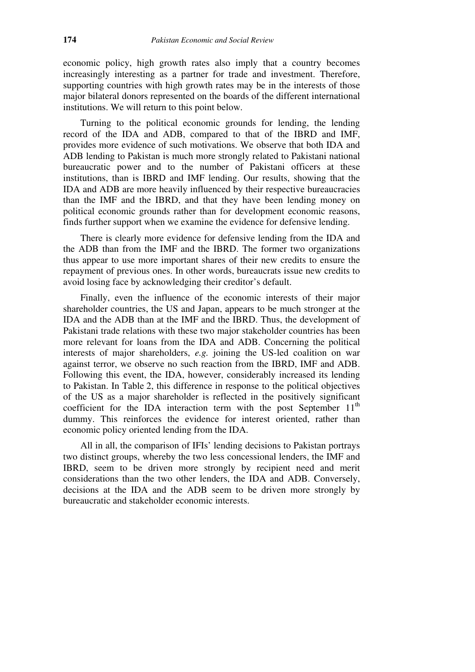economic policy, high growth rates also imply that a country becomes increasingly interesting as a partner for trade and investment. Therefore, supporting countries with high growth rates may be in the interests of those major bilateral donors represented on the boards of the different international institutions. We will return to this point below.

 Turning to the political economic grounds for lending, the lending record of the IDA and ADB, compared to that of the IBRD and IMF, provides more evidence of such motivations. We observe that both IDA and ADB lending to Pakistan is much more strongly related to Pakistani national bureaucratic power and to the number of Pakistani officers at these institutions, than is IBRD and IMF lending. Our results, showing that the IDA and ADB are more heavily influenced by their respective bureaucracies than the IMF and the IBRD, and that they have been lending money on political economic grounds rather than for development economic reasons, finds further support when we examine the evidence for defensive lending.

 There is clearly more evidence for defensive lending from the IDA and the ADB than from the IMF and the IBRD. The former two organizations thus appear to use more important shares of their new credits to ensure the repayment of previous ones. In other words, bureaucrats issue new credits to avoid losing face by acknowledging their creditor's default.

 Finally, even the influence of the economic interests of their major shareholder countries, the US and Japan, appears to be much stronger at the IDA and the ADB than at the IMF and the IBRD. Thus, the development of Pakistani trade relations with these two major stakeholder countries has been more relevant for loans from the IDA and ADB. Concerning the political interests of major shareholders, *e.g.* joining the US-led coalition on war against terror, we observe no such reaction from the IBRD, IMF and ADB. Following this event, the IDA, however, considerably increased its lending to Pakistan. In Table 2, this difference in response to the political objectives of the US as a major shareholder is reflected in the positively significant coefficient for the IDA interaction term with the post September  $11<sup>th</sup>$ dummy. This reinforces the evidence for interest oriented, rather than economic policy oriented lending from the IDA.

 All in all, the comparison of IFIs' lending decisions to Pakistan portrays two distinct groups, whereby the two less concessional lenders, the IMF and IBRD, seem to be driven more strongly by recipient need and merit considerations than the two other lenders, the IDA and ADB. Conversely, decisions at the IDA and the ADB seem to be driven more strongly by bureaucratic and stakeholder economic interests.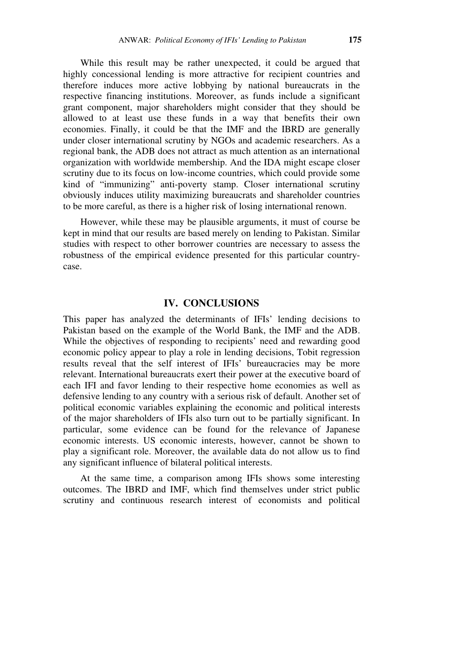While this result may be rather unexpected, it could be argued that highly concessional lending is more attractive for recipient countries and therefore induces more active lobbying by national bureaucrats in the respective financing institutions. Moreover, as funds include a significant grant component, major shareholders might consider that they should be allowed to at least use these funds in a way that benefits their own economies. Finally, it could be that the IMF and the IBRD are generally under closer international scrutiny by NGOs and academic researchers. As a regional bank, the ADB does not attract as much attention as an international organization with worldwide membership. And the IDA might escape closer scrutiny due to its focus on low-income countries, which could provide some kind of "immunizing" anti-poverty stamp. Closer international scrutiny obviously induces utility maximizing bureaucrats and shareholder countries to be more careful, as there is a higher risk of losing international renown.

 However, while these may be plausible arguments, it must of course be kept in mind that our results are based merely on lending to Pakistan. Similar studies with respect to other borrower countries are necessary to assess the robustness of the empirical evidence presented for this particular countrycase.

### **IV. CONCLUSIONS**

This paper has analyzed the determinants of IFIs' lending decisions to Pakistan based on the example of the World Bank, the IMF and the ADB. While the objectives of responding to recipients' need and rewarding good economic policy appear to play a role in lending decisions, Tobit regression results reveal that the self interest of IFIs' bureaucracies may be more relevant. International bureaucrats exert their power at the executive board of each IFI and favor lending to their respective home economies as well as defensive lending to any country with a serious risk of default. Another set of political economic variables explaining the economic and political interests of the major shareholders of IFIs also turn out to be partially significant. In particular, some evidence can be found for the relevance of Japanese economic interests. US economic interests, however, cannot be shown to play a significant role. Moreover, the available data do not allow us to find any significant influence of bilateral political interests.

 At the same time, a comparison among IFIs shows some interesting outcomes. The IBRD and IMF, which find themselves under strict public scrutiny and continuous research interest of economists and political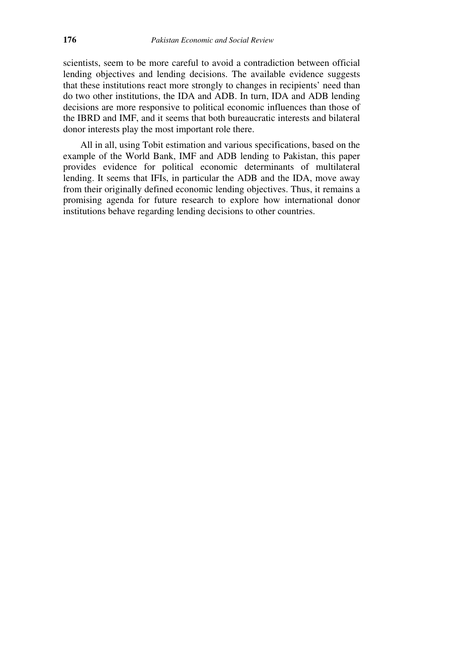scientists, seem to be more careful to avoid a contradiction between official lending objectives and lending decisions. The available evidence suggests that these institutions react more strongly to changes in recipients' need than do two other institutions, the IDA and ADB. In turn, IDA and ADB lending decisions are more responsive to political economic influences than those of the IBRD and IMF, and it seems that both bureaucratic interests and bilateral donor interests play the most important role there.

 All in all, using Tobit estimation and various specifications, based on the example of the World Bank, IMF and ADB lending to Pakistan, this paper provides evidence for political economic determinants of multilateral lending. It seems that IFIs, in particular the ADB and the IDA, move away from their originally defined economic lending objectives. Thus, it remains a promising agenda for future research to explore how international donor institutions behave regarding lending decisions to other countries.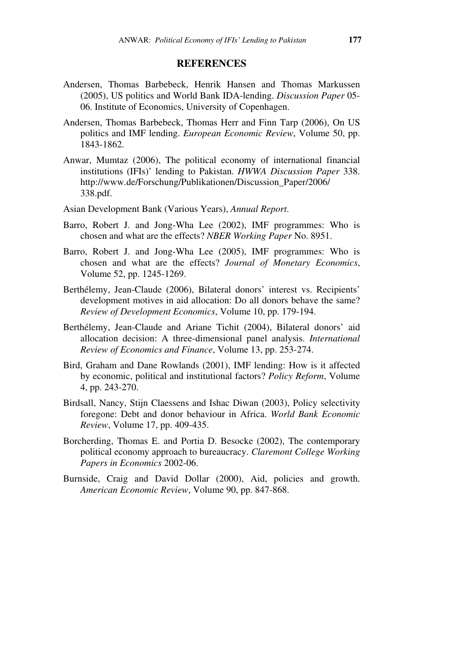#### **REFERENCES**

- Andersen, Thomas Barbebeck, Henrik Hansen and Thomas Markussen (2005), US politics and World Bank IDA-lending. *Discussion Paper* 05- 06. Institute of Economics, University of Copenhagen.
- Andersen, Thomas Barbebeck, Thomas Herr and Finn Tarp (2006), On US politics and IMF lending. *European Economic Review*, Volume 50, pp. 1843-1862.
- Anwar, Mumtaz (2006), The political economy of international financial institutions (IFIs)' lending to Pakistan. *HWWA Discussion Paper* 338. http://www.de/Forschung/Publikationen/Discussion\_Paper/2006/ 338.pdf.
- Asian Development Bank (Various Years), *Annual Report*.
- Barro, Robert J. and Jong-Wha Lee (2002), IMF programmes: Who is chosen and what are the effects? *NBER Working Paper* No. 8951.
- Barro, Robert J. and Jong-Wha Lee (2005), IMF programmes: Who is chosen and what are the effects? *Journal of Monetary Economics*, Volume 52, pp. 1245-1269.
- Berthélemy, Jean-Claude (2006), Bilateral donors' interest vs. Recipients' development motives in aid allocation: Do all donors behave the same? *Review of Development Economics*, Volume 10, pp. 179-194.
- Berthélemy, Jean-Claude and Ariane Tichit (2004), Bilateral donors' aid allocation decision: A three-dimensional panel analysis. *International Review of Economics and Finance*, Volume 13, pp. 253-274.
- Bird, Graham and Dane Rowlands (2001), IMF lending: How is it affected by economic, political and institutional factors? *Policy Reform*, Volume 4, pp. 243-270.
- Birdsall, Nancy, Stijn Claessens and Ishac Diwan (2003), Policy selectivity foregone: Debt and donor behaviour in Africa. *World Bank Economic Review*, Volume 17, pp. 409-435.
- Borcherding, Thomas E. and Portia D. Besocke (2002), The contemporary political economy approach to bureaucracy. *Claremont College Working Papers in Economics* 2002-06.
- Burnside, Craig and David Dollar (2000), Aid, policies and growth. *American Economic Review*, Volume 90, pp. 847-868.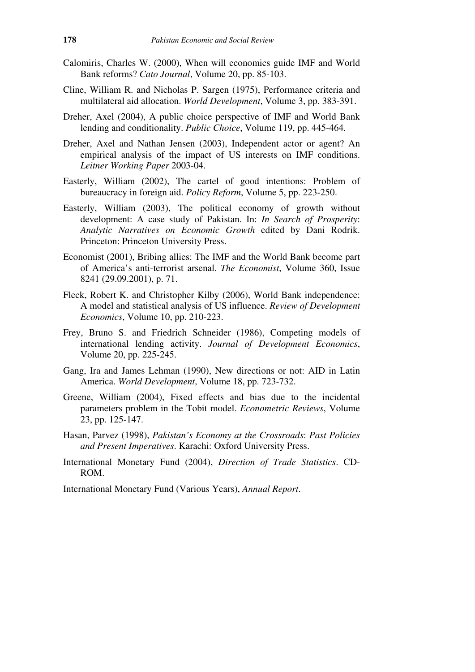- Calomiris, Charles W. (2000), When will economics guide IMF and World Bank reforms? *Cato Journal*, Volume 20, pp. 85-103.
- Cline, William R. and Nicholas P. Sargen (1975), Performance criteria and multilateral aid allocation. *World Development*, Volume 3, pp. 383-391.
- Dreher, Axel (2004), A public choice perspective of IMF and World Bank lending and conditionality. *Public Choice*, Volume 119, pp. 445-464.
- Dreher, Axel and Nathan Jensen (2003), Independent actor or agent? An empirical analysis of the impact of US interests on IMF conditions. *Leitner Working Paper* 2003-04.
- Easterly, William (2002), The cartel of good intentions: Problem of bureaucracy in foreign aid. *Policy Reform*, Volume 5, pp. 223-250.
- Easterly, William (2003), The political economy of growth without development: A case study of Pakistan. In: *In Search of Prosperity*: *Analytic Narratives on Economic Growth* edited by Dani Rodrik. Princeton: Princeton University Press.
- Economist (2001), Bribing allies: The IMF and the World Bank become part of America's anti-terrorist arsenal. *The Economist*, Volume 360, Issue 8241 (29.09.2001), p. 71.
- Fleck, Robert K. and Christopher Kilby (2006), World Bank independence: A model and statistical analysis of US influence. *Review of Development Economics*, Volume 10, pp. 210-223.
- Frey, Bruno S. and Friedrich Schneider (1986), Competing models of international lending activity. *Journal of Development Economics*, Volume 20, pp. 225-245.
- Gang, Ira and James Lehman (1990), New directions or not: AID in Latin America. *World Development*, Volume 18, pp. 723-732.
- Greene, William (2004), Fixed effects and bias due to the incidental parameters problem in the Tobit model. *Econometric Reviews*, Volume 23, pp. 125-147.
- Hasan, Parvez (1998), *Pakistan's Economy at the Crossroads*: *Past Policies and Present Imperatives*. Karachi: Oxford University Press.
- International Monetary Fund (2004), *Direction of Trade Statistics*. CD-ROM.

International Monetary Fund (Various Years), *Annual Report*.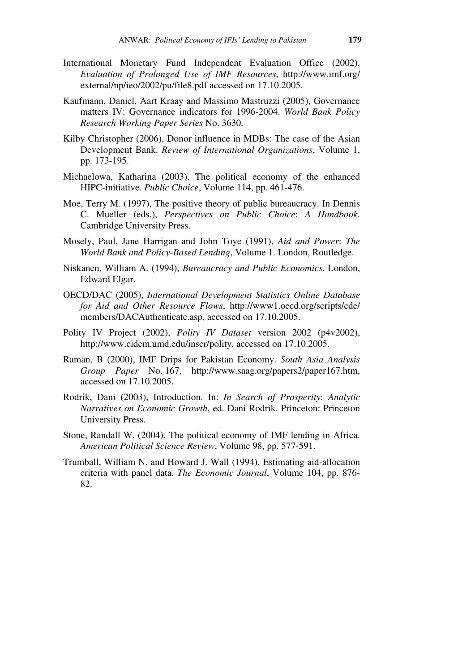- International Monetary Fund Independent Evaluation Office (2002), *Evaluation of Prolonged Use of IMF Resources*, http://www.imf.org/ external/np/ieo/2002/pu/file8.pdf accessed on 17.10.2005.
- Kaufmann, Daniel, Aart Kraay and Massimo Mastruzzi (2005), Governance matters IV: Governance indicators for 1996-2004. *World Bank Policy Research Working Paper Series* No. 3630.
- Kilby Christopher (2006), Donor influence in MDBs: The case of the Asian Development Bank. *Review of International Organizations*, Volume 1, pp. 173-195.
- Michaelowa, Katharina (2003), The political economy of the enhanced HIPC-initiative. *Public Choice*, Volume 114, pp. 461-476.
- Moe, Terry M. (1997), The positive theory of public bureaucracy. In Dennis C. Mueller (eds.), *Perspectives on Public Choice*: *A Handbook*. Cambridge University Press.
- Mosely, Paul, Jane Harrigan and John Toye (1991), *Aid and Power*: *The World Bank and Policy-Based Lending*, Volume 1. London, Routledge.
- Niskanen, William A. (1994), *Bureaucracy and Public Economics*. London, Edward Elgar.
- OECD/DAC (2005), *International Development Statistics Online Database for Aid and Other Resource Flows*, http://www1.oecd.org/scripts/cde/ members/DACAuthenticate.asp, accessed on 17.10.2005.
- Polity IV Project (2002), *Polity IV Dataset* version 2002 (p4v2002), http://www.cidcm.umd.edu/inscr/polity, accessed on 17.10.2005.
- Raman, B (2000), IMF Drips for Pakistan Economy. *South Asia Analysis Group Paper* No. 167, http://www.saag.org/papers2/paper167.htm, accessed on 17.10.2005.
- Rodrik, Dani (2003), Introduction. In: *In Search of Prosperity*: *Analytic Narratives on Economic Growth*, ed. Dani Rodrik. Princeton: Princeton University Press.
- Stone, Randall W. (2004), The political economy of IMF lending in Africa. *American Political Science Review*, Volume 98, pp. 577-591.
- Trumball, William N. and Howard J. Wall (1994), Estimating aid-allocation criteria with panel data. *The Economic Journal*, Volume 104, pp. 876- 82.